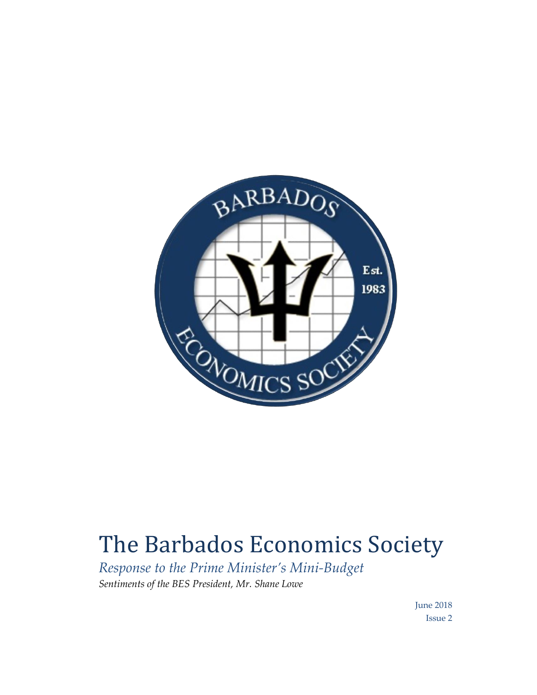

## The Barbados Economics Society

*Response to the Prime Minister's Mini-Budget Sentiments of the BES President, Mr. Shane Lowe*

> June 2018 Issue 2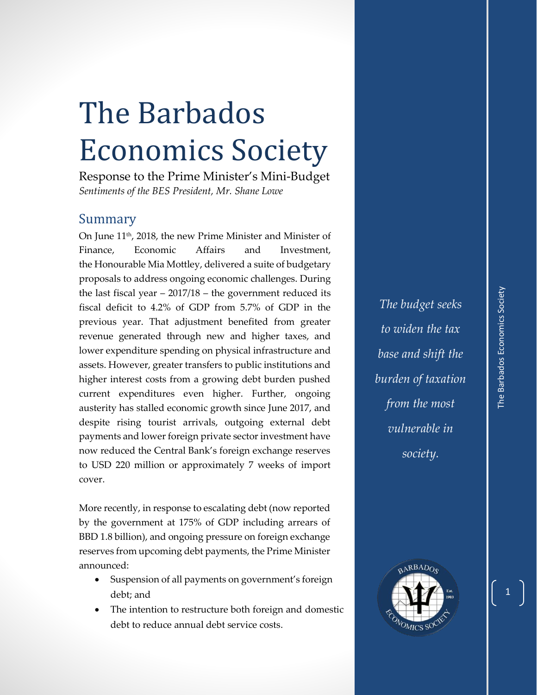## The Barbados Economics Society

Response to the Prime Minister's Mini-Budget *Sentiments of the BES President, Mr. Shane Lowe*

## Summary

On June 11th, 2018, the new Prime Minister and Minister of Finance, Economic Affairs and Investment, the Honourable Mia Mottley, delivered a suite of budgetary proposals to address ongoing economic challenges. During the last fiscal year  $-2017/18$  – the government reduced its fiscal deficit to 4.2% of GDP from 5.7% of GDP in the previous year. That adjustment benefited from greater revenue generated through new and higher taxes, and lower expenditure spending on physical infrastructure and assets. However, greater transfers to public institutions and higher interest costs from a growing debt burden pushed current expenditures even higher. Further, ongoing austerity has stalled economic growth since June 2017, and despite rising tourist arrivals, outgoing external debt payments and lower foreign private sector investment have now reduced the Central Bank's foreign exchange reserves to USD 220 million or approximately 7 weeks of import cover.

More recently, in response to escalating debt (now reported by the government at 175% of GDP including arrears of BBD 1.8 billion), and ongoing pressure on foreign exchange reserves from upcoming debt payments, the Prime Minister announced:

- Suspension of all payments on government's foreign debt; and
- The intention to restructure both foreign and domestic debt to reduce annual debt service costs.

*The budget seeks to widen the tax base and shift the burden of taxation from the most vulnerable in society.*

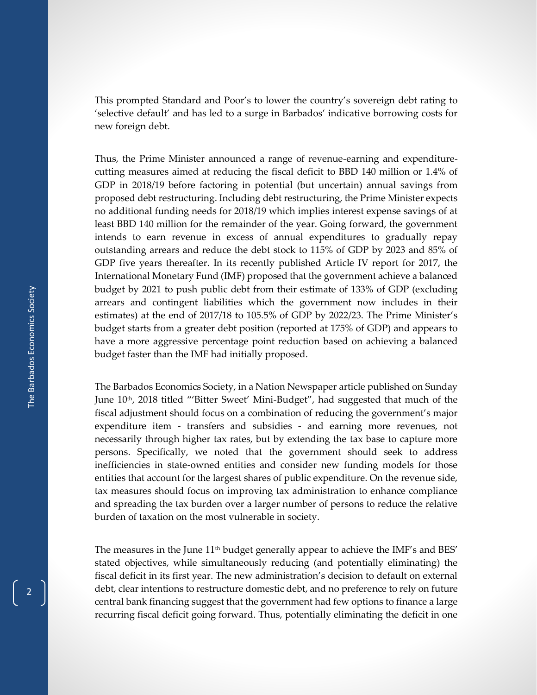This prompted Standard and Poor's to lower the country's sovereign debt rating to 'selective default' and has led to a surge in Barbados' indicative borrowing costs for new foreign debt.

Thus, the Prime Minister announced a range of revenue-earning and expenditurecutting measures aimed at reducing the fiscal deficit to BBD 140 million or 1.4% of GDP in 2018/19 before factoring in potential (but uncertain) annual savings from proposed debt restructuring. Including debt restructuring, the Prime Minister expects no additional funding needs for 2018/19 which implies interest expense savings of at least BBD 140 million for the remainder of the year. Going forward, the government intends to earn revenue in excess of annual expenditures to gradually repay outstanding arrears and reduce the debt stock to 115% of GDP by 2023 and 85% of GDP five years thereafter. In its recently published Article IV report for 2017, the International Monetary Fund (IMF) proposed that the government achieve a balanced budget by 2021 to push public debt from their estimate of 133% of GDP (excluding arrears and contingent liabilities which the government now includes in their estimates) at the end of 2017/18 to 105.5% of GDP by 2022/23. The Prime Minister's budget starts from a greater debt position (reported at 175% of GDP) and appears to have a more aggressive percentage point reduction based on achieving a balanced budget faster than the IMF had initially proposed.

The Barbados Economics Society, in a Nation Newspaper article published on Sunday June 10<sup>th</sup>, 2018 titled "'Bitter Sweet' Mini-Budget", had suggested that much of the fiscal adjustment should focus on a combination of reducing the government's major expenditure item - transfers and subsidies - and earning more revenues, not necessarily through higher tax rates, but by extending the tax base to capture more persons. Specifically, we noted that the government should seek to address inefficiencies in state-owned entities and consider new funding models for those entities that account for the largest shares of public expenditure. On the revenue side, tax measures should focus on improving tax administration to enhance compliance and spreading the tax burden over a larger number of persons to reduce the relative burden of taxation on the most vulnerable in society.

The measures in the June 11<sup>th</sup> budget generally appear to achieve the IMF's and BES' stated objectives, while simultaneously reducing (and potentially eliminating) the fiscal deficit in its first year. The new administration's decision to default on external debt, clear intentions to restructure domestic debt, and no preference to rely on future central bank financing suggest that the government had few options to finance a large recurring fiscal deficit going forward. Thus, potentially eliminating the deficit in one